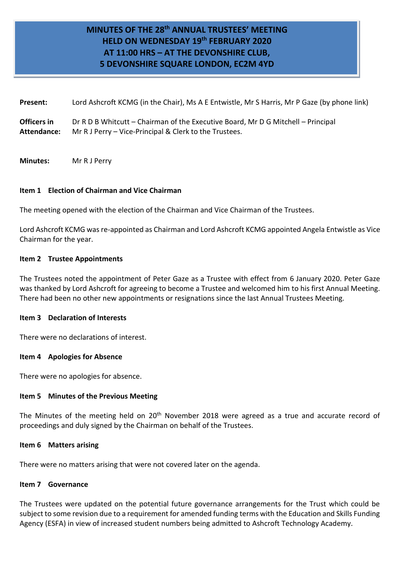# **MINUTES OF THE 28 th ANNUAL TRUSTEES' MEETING HELD ON WEDNESDAY 19th FEBRUARY 2020 AT 11:00 HRS – AT THE DEVONSHIRE CLUB, 5 DEVONSHIRE SQUARE LONDON, EC2M 4YD**

**Present:** Lord Ashcroft KCMG (in the Chair), Ms A E Entwistle, Mr S Harris, Mr P Gaze (by phone link) **Officers in** Dr R D B Whitcutt – Chairman of the Executive Board, Mr D G Mitchell – Principal **Attendance:** Mr R J Perry – Vice-Principal & Clerk to the Trustees.

**Minutes:** Mr R J Perry

### **Item 1 Election of Chairman and Vice Chairman**

The meeting opened with the election of the Chairman and Vice Chairman of the Trustees.

Lord Ashcroft KCMG was re-appointed as Chairman and Lord Ashcroft KCMG appointed Angela Entwistle as Vice Chairman for the year.

### **Item 2 Trustee Appointments**

The Trustees noted the appointment of Peter Gaze as a Trustee with effect from 6 January 2020. Peter Gaze was thanked by Lord Ashcroft for agreeing to become a Trustee and welcomed him to his first Annual Meeting. There had been no other new appointments or resignations since the last Annual Trustees Meeting.

#### **Item 3 Declaration of Interests**

There were no declarations of interest.

#### **Item 4 Apologies for Absence**

There were no apologies for absence.

### **Item 5 Minutes of the Previous Meeting**

The Minutes of the meeting held on 20<sup>th</sup> November 2018 were agreed as a true and accurate record of proceedings and duly signed by the Chairman on behalf of the Trustees.

#### **Item 6 Matters arising**

There were no matters arising that were not covered later on the agenda.

#### **Item 7 Governance**

The Trustees were updated on the potential future governance arrangements for the Trust which could be subject to some revision due to a requirement for amended funding terms with the Education and Skills Funding Agency (ESFA) in view of increased student numbers being admitted to Ashcroft Technology Academy.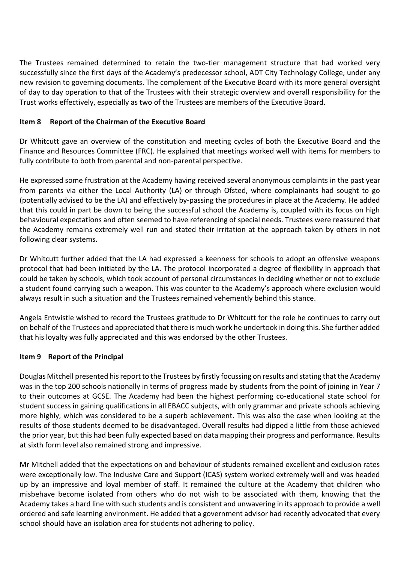The Trustees remained determined to retain the two-tier management structure that had worked very successfully since the first days of the Academy's predecessor school, ADT City Technology College, under any new revision to governing documents. The complement of the Executive Board with its more general oversight of day to day operation to that of the Trustees with their strategic overview and overall responsibility for the Trust works effectively, especially as two of the Trustees are members of the Executive Board.

# **Item 8 Report of the Chairman of the Executive Board**

Dr Whitcutt gave an overview of the constitution and meeting cycles of both the Executive Board and the Finance and Resources Committee (FRC). He explained that meetings worked well with items for members to fully contribute to both from parental and non-parental perspective.

He expressed some frustration at the Academy having received several anonymous complaints in the past year from parents via either the Local Authority (LA) or through Ofsted, where complainants had sought to go (potentially advised to be the LA) and effectively by-passing the procedures in place at the Academy. He added that this could in part be down to being the successful school the Academy is, coupled with its focus on high behavioural expectations and often seemed to have referencing of special needs. Trustees were reassured that the Academy remains extremely well run and stated their irritation at the approach taken by others in not following clear systems.

Dr Whitcutt further added that the LA had expressed a keenness for schools to adopt an offensive weapons protocol that had been initiated by the LA. The protocol incorporated a degree of flexibility in approach that could be taken by schools, which took account of personal circumstances in deciding whether or not to exclude a student found carrying such a weapon. This was counter to the Academy's approach where exclusion would always result in such a situation and the Trustees remained vehemently behind this stance.

Angela Entwistle wished to record the Trustees gratitude to Dr Whitcutt for the role he continues to carry out on behalf of the Trustees and appreciated that there is much work he undertook in doing this. She further added that his loyalty was fully appreciated and this was endorsed by the other Trustees.

### **Item 9 Report of the Principal**

Douglas Mitchell presented his report to the Trustees by firstly focussing on results and stating that the Academy was in the top 200 schools nationally in terms of progress made by students from the point of joining in Year 7 to their outcomes at GCSE. The Academy had been the highest performing co-educational state school for student success in gaining qualifications in all EBACC subjects, with only grammar and private schools achieving more highly, which was considered to be a superb achievement. This was also the case when looking at the results of those students deemed to be disadvantaged. Overall results had dipped a little from those achieved the prior year, but this had been fully expected based on data mapping their progress and performance. Results at sixth form level also remained strong and impressive.

Mr Mitchell added that the expectations on and behaviour of students remained excellent and exclusion rates were exceptionally low. The Inclusive Care and Support (ICAS) system worked extremely well and was headed up by an impressive and loyal member of staff. It remained the culture at the Academy that children who misbehave become isolated from others who do not wish to be associated with them, knowing that the Academy takes a hard line with such students and is consistent and unwavering in its approach to provide a well ordered and safe learning environment. He added that a government advisor had recently advocated that every school should have an isolation area for students not adhering to policy.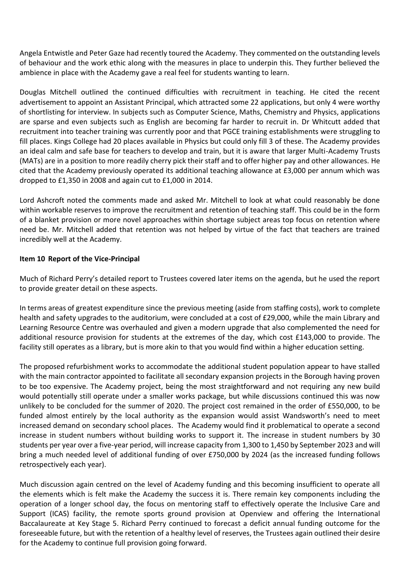Angela Entwistle and Peter Gaze had recently toured the Academy. They commented on the outstanding levels of behaviour and the work ethic along with the measures in place to underpin this. They further believed the ambience in place with the Academy gave a real feel for students wanting to learn.

Douglas Mitchell outlined the continued difficulties with recruitment in teaching. He cited the recent advertisement to appoint an Assistant Principal, which attracted some 22 applications, but only 4 were worthy of shortlisting for interview. In subjects such as Computer Science, Maths, Chemistry and Physics, applications are sparse and even subjects such as English are becoming far harder to recruit in. Dr Whitcutt added that recruitment into teacher training was currently poor and that PGCE training establishments were struggling to fill places. Kings College had 20 places available in Physics but could only fill 3 of these. The Academy provides an ideal calm and safe base for teachers to develop and train, but it is aware that larger Multi-Academy Trusts (MATs) are in a position to more readily cherry pick their staff and to offer higher pay and other allowances. He cited that the Academy previously operated its additional teaching allowance at £3,000 per annum which was dropped to £1,350 in 2008 and again cut to £1,000 in 2014.

Lord Ashcroft noted the comments made and asked Mr. Mitchell to look at what could reasonably be done within workable reserves to improve the recruitment and retention of teaching staff. This could be in the form of a blanket provision or more novel approaches within shortage subject areas top focus on retention where need be. Mr. Mitchell added that retention was not helped by virtue of the fact that teachers are trained incredibly well at the Academy.

### **Item 10 Report of the Vice-Principal**

Much of Richard Perry's detailed report to Trustees covered later items on the agenda, but he used the report to provide greater detail on these aspects.

In terms areas of greatest expenditure since the previous meeting (aside from staffing costs), work to complete health and safety upgrades to the auditorium, were concluded at a cost of £29,000, while the main Library and Learning Resource Centre was overhauled and given a modern upgrade that also complemented the need for additional resource provision for students at the extremes of the day, which cost £143,000 to provide. The facility still operates as a library, but is more akin to that you would find within a higher education setting.

The proposed refurbishment works to accommodate the additional student population appear to have stalled with the main contractor appointed to facilitate all secondary expansion projects in the Borough having proven to be too expensive. The Academy project, being the most straightforward and not requiring any new build would potentially still operate under a smaller works package, but while discussions continued this was now unlikely to be concluded for the summer of 2020. The project cost remained in the order of £550,000, to be funded almost entirely by the local authority as the expansion would assist Wandsworth's need to meet increased demand on secondary school places. The Academy would find it problematical to operate a second increase in student numbers without building works to support it. The increase in student numbers by 30 students per year over a five-year period, will increase capacity from 1,300 to 1,450 by September 2023 and will bring a much needed level of additional funding of over £750,000 by 2024 (as the increased funding follows retrospectively each year).

Much discussion again centred on the level of Academy funding and this becoming insufficient to operate all the elements which is felt make the Academy the success it is. There remain key components including the operation of a longer school day, the focus on mentoring staff to effectively operate the Inclusive Care and Support (ICAS) facility, the remote sports ground provision at Openview and offering the International Baccalaureate at Key Stage 5. Richard Perry continued to forecast a deficit annual funding outcome for the foreseeable future, but with the retention of a healthy level of reserves, the Trustees again outlined their desire for the Academy to continue full provision going forward.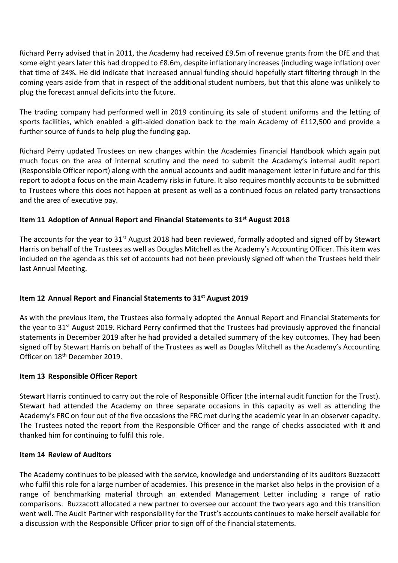Richard Perry advised that in 2011, the Academy had received £9.5m of revenue grants from the DfE and that some eight years later this had dropped to £8.6m, despite inflationary increases (including wage inflation) over that time of 24%. He did indicate that increased annual funding should hopefully start filtering through in the coming years aside from that in respect of the additional student numbers, but that this alone was unlikely to plug the forecast annual deficits into the future.

The trading company had performed well in 2019 continuing its sale of student uniforms and the letting of sports facilities, which enabled a gift-aided donation back to the main Academy of £112,500 and provide a further source of funds to help plug the funding gap.

Richard Perry updated Trustees on new changes within the Academies Financial Handbook which again put much focus on the area of internal scrutiny and the need to submit the Academy's internal audit report (Responsible Officer report) along with the annual accounts and audit management letter in future and for this report to adopt a focus on the main Academy risks in future. It also requires monthly accounts to be submitted to Trustees where this does not happen at present as well as a continued focus on related party transactions and the area of executive pay.

# **Item 11 Adoption of Annual Report and Financial Statements to 31st August 2018**

The accounts for the year to 31<sup>st</sup> August 2018 had been reviewed, formally adopted and signed off by Stewart Harris on behalf of the Trustees as well as Douglas Mitchell as the Academy's Accounting Officer. This item was included on the agenda as this set of accounts had not been previously signed off when the Trustees held their last Annual Meeting.

# **Item 12 Annual Report and Financial Statements to 31st August 2019**

As with the previous item, the Trustees also formally adopted the Annual Report and Financial Statements for the year to 31<sup>st</sup> August 2019. Richard Perry confirmed that the Trustees had previously approved the financial statements in December 2019 after he had provided a detailed summary of the key outcomes. They had been signed off by Stewart Harris on behalf of the Trustees as well as Douglas Mitchell as the Academy's Accounting Officer on 18th December 2019.

# **Item 13 Responsible Officer Report**

Stewart Harris continued to carry out the role of Responsible Officer (the internal audit function for the Trust). Stewart had attended the Academy on three separate occasions in this capacity as well as attending the Academy's FRC on four out of the five occasions the FRC met during the academic year in an observer capacity. The Trustees noted the report from the Responsible Officer and the range of checks associated with it and thanked him for continuing to fulfil this role.

# **Item 14 Review of Auditors**

The Academy continues to be pleased with the service, knowledge and understanding of its auditors Buzzacott who fulfil this role for a large number of academies. This presence in the market also helps in the provision of a range of benchmarking material through an extended Management Letter including a range of ratio comparisons. Buzzacott allocated a new partner to oversee our account the two years ago and this transition went well. The Audit Partner with responsibility for the Trust's accounts continues to make herself available for a discussion with the Responsible Officer prior to sign off of the financial statements.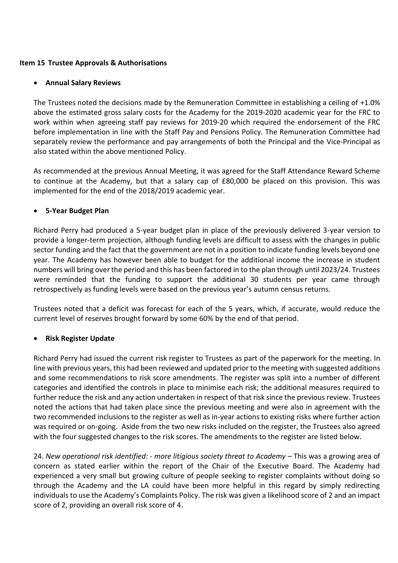### **Item 15 Trustee Approvals & Authorisations**

### **Annual Salary Reviews**

The Trustees noted the decisions made by the Remuneration Committee in establishing a ceiling of +1.0% above the estimated gross salary costs for the Academy for the 2019-2020 academic year for the FRC to work within when agreeing staff pay reviews for 2019-20 which required the endorsement of the FRC before implementation in line with the Staff Pay and Pensions Policy. The Remuneration Committee had separately review the performance and pay arrangements of both the Principal and the Vice-Principal as also stated within the above mentioned Policy.

As recommended at the previous Annual Meeting, it was agreed for the Staff Attendance Reward Scheme to continue at the Academy, but that a salary cap of £80,000 be placed on this provision. This was implemented for the end of the 2018/2019 academic year.

### **5-Year Budget Plan**

Richard Perry had produced a 5-year budget plan in place of the previously delivered 3-year version to provide a longer-term projection, although funding levels are difficult to assess with the changes in public sector funding and the fact that the government are not in a position to indicate funding levels beyond one year. The Academy has however been able to budget for the additional income the increase in student numbers will bring over the period and this has been factored in to the plan through until 2023/24. Trustees were reminded that the funding to support the additional 30 students per year came through retrospectively as funding levels were based on the previous year's autumn census returns.

Trustees noted that a deficit was forecast for each of the 5 years, which, if accurate, would reduce the current level of reserves brought forward by some 60% by the end of that period.

### **Risk Register Update**

Richard Perry had issued the current risk register to Trustees as part of the paperwork for the meeting. In line with previous years, this had been reviewed and updated prior to the meeting with suggested additions and some recommendations to risk score amendments. The register was split into a number of different categories and identified the controls in place to minimise each risk; the additional measures required to further reduce the risk and any action undertaken in respect of that risk since the previous review. Trustees noted the actions that had taken place since the previous meeting and were also in agreement with the two recommended inclusions to the register as well as in-year actions to existing risks where further action was required or on-going. Aside from the two new risks included on the register, the Trustees also agreed with the four suggested changes to the risk scores. The amendments to the register are listed below.

24. *New operational risk identified: - more litigious society threat to Academy –* This was a growing area of concern as stated earlier within the report of the Chair of the Executive Board. The Academy had experienced a very small but growing culture of people seeking to register complaints without doing so through the Academy and the LA could have been more helpful in this regard by simply redirecting individuals to use the Academy's Complaints Policy. The risk was given a likelihood score of 2 and an impact score of 2, providing an overall risk score of 4.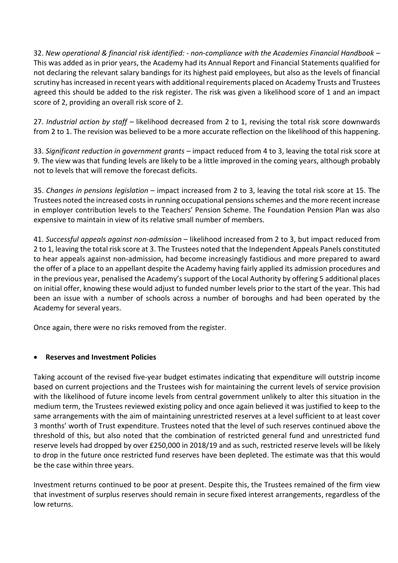32. *New operational & financial risk identified: - non-compliance with the Academies Financial Handbook –* This was added as in prior years, the Academy had its Annual Report and Financial Statements qualified for not declaring the relevant salary bandings for its highest paid employees, but also as the levels of financial scrutiny has increased in recent years with additional requirements placed on Academy Trusts and Trustees agreed this should be added to the risk register. The risk was given a likelihood score of 1 and an impact score of 2, providing an overall risk score of 2.

27. *Industrial action by staff* – likelihood decreased from 2 to 1, revising the total risk score downwards from 2 to 1. The revision was believed to be a more accurate reflection on the likelihood of this happening.

33. *Significant reduction in government grants* – impact reduced from 4 to 3, leaving the total risk score at 9. The view was that funding levels are likely to be a little improved in the coming years, although probably not to levels that will remove the forecast deficits.

35. *Changes in pensions legislation* – impact increased from 2 to 3, leaving the total risk score at 15. The Trustees noted the increased costs in running occupational pensions schemes and the more recent increase in employer contribution levels to the Teachers' Pension Scheme. The Foundation Pension Plan was also expensive to maintain in view of its relative small number of members.

41. *Successful appeals against non-admission* – likelihood increased from 2 to 3, but impact reduced from 2 to 1, leaving the total risk score at 3. The Trustees noted that the Independent Appeals Panels constituted to hear appeals against non-admission, had become increasingly fastidious and more prepared to award the offer of a place to an appellant despite the Academy having fairly applied its admission procedures and in the previous year, penalised the Academy's support of the Local Authority by offering 5 additional places on initial offer, knowing these would adjust to funded number levels prior to the start of the year. This had been an issue with a number of schools across a number of boroughs and had been operated by the Academy for several years.

Once again, there were no risks removed from the register.

# **Reserves and Investment Policies**

Taking account of the revised five-year budget estimates indicating that expenditure will outstrip income based on current projections and the Trustees wish for maintaining the current levels of service provision with the likelihood of future income levels from central government unlikely to alter this situation in the medium term, the Trustees reviewed existing policy and once again believed it was justified to keep to the same arrangements with the aim of maintaining unrestricted reserves at a level sufficient to at least cover 3 months' worth of Trust expenditure. Trustees noted that the level of such reserves continued above the threshold of this, but also noted that the combination of restricted general fund and unrestricted fund reserve levels had dropped by over £250,000 in 2018/19 and as such, restricted reserve levels will be likely to drop in the future once restricted fund reserves have been depleted. The estimate was that this would be the case within three years.

Investment returns continued to be poor at present. Despite this, the Trustees remained of the firm view that investment of surplus reserves should remain in secure fixed interest arrangements, regardless of the low returns.